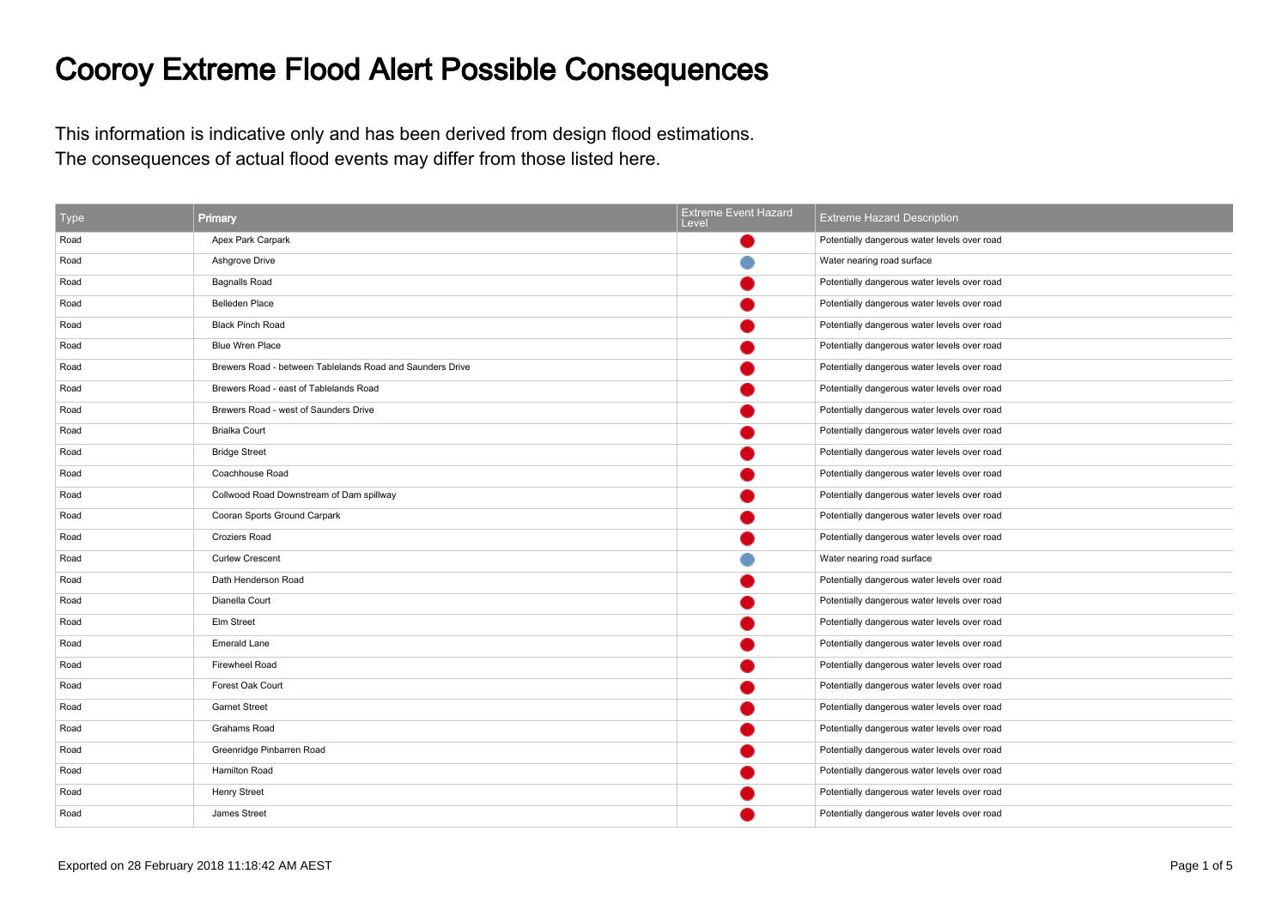## Cooroy Extreme Flood Alert Possible Consequences

This information is indicative only and has been derived from design flood estimations.The consequences of actual flood events may differ from those listed here.

| <b>Type</b> | Primary                                                   | <b>Extreme Event Hazard</b><br>Level | <b>Extreme Hazard Description</b>            |
|-------------|-----------------------------------------------------------|--------------------------------------|----------------------------------------------|
| Road        | Apex Park Carpark                                         |                                      | Potentially dangerous water levels over road |
| Road        | Ashgrove Drive                                            |                                      | Water nearing road surface                   |
| Road        | <b>Bagnalls Road</b>                                      |                                      | Potentially dangerous water levels over road |
| Road        | <b>Belleden Place</b>                                     |                                      | Potentially dangerous water levels over road |
| Road        | <b>Black Pinch Road</b>                                   |                                      | Potentially dangerous water levels over road |
| Road        | <b>Blue Wren Place</b>                                    |                                      | Potentially dangerous water levels over road |
| Road        | Brewers Road - between Tablelands Road and Saunders Drive |                                      | Potentially dangerous water levels over road |
| Road        | Brewers Road - east of Tablelands Road                    |                                      | Potentially dangerous water levels over road |
| Road        | Brewers Road - west of Saunders Drive                     |                                      | Potentially dangerous water levels over road |
| Road        | <b>Brialka Court</b>                                      |                                      | Potentially dangerous water levels over road |
| Road        | <b>Bridge Street</b>                                      |                                      | Potentially dangerous water levels over road |
| Road        | Coachhouse Road                                           |                                      | Potentially dangerous water levels over road |
| Road        | Collwood Road Downstream of Dam spillway                  |                                      | Potentially dangerous water levels over road |
| Road        | Cooran Sports Ground Carpark                              |                                      | Potentially dangerous water levels over road |
| Road        | Croziers Road                                             |                                      | Potentially dangerous water levels over road |
| Road        | <b>Curlew Crescent</b>                                    |                                      | Water nearing road surface                   |
| Road        | Dath Henderson Road                                       |                                      | Potentially dangerous water levels over road |
| Road        | Dianella Court                                            |                                      | Potentially dangerous water levels over road |
| Road        | Elm Street                                                |                                      | Potentially dangerous water levels over road |
| Road        | <b>Emerald Lane</b>                                       |                                      | Potentially dangerous water levels over road |
| Road        | Firewheel Road                                            |                                      | Potentially dangerous water levels over road |
| Road        | Forest Oak Court                                          |                                      | Potentially dangerous water levels over road |
| Road        | <b>Garnet Street</b>                                      |                                      | Potentially dangerous water levels over road |
| Road        | Grahams Road                                              |                                      | Potentially dangerous water levels over road |
| Road        | Greenridge Pinbarren Road                                 |                                      | Potentially dangerous water levels over road |
| Road        | Hamilton Road                                             |                                      | Potentially dangerous water levels over road |
| Road        | <b>Henry Street</b>                                       |                                      | Potentially dangerous water levels over road |
| Road        | James Street                                              |                                      | Potentially dangerous water levels over road |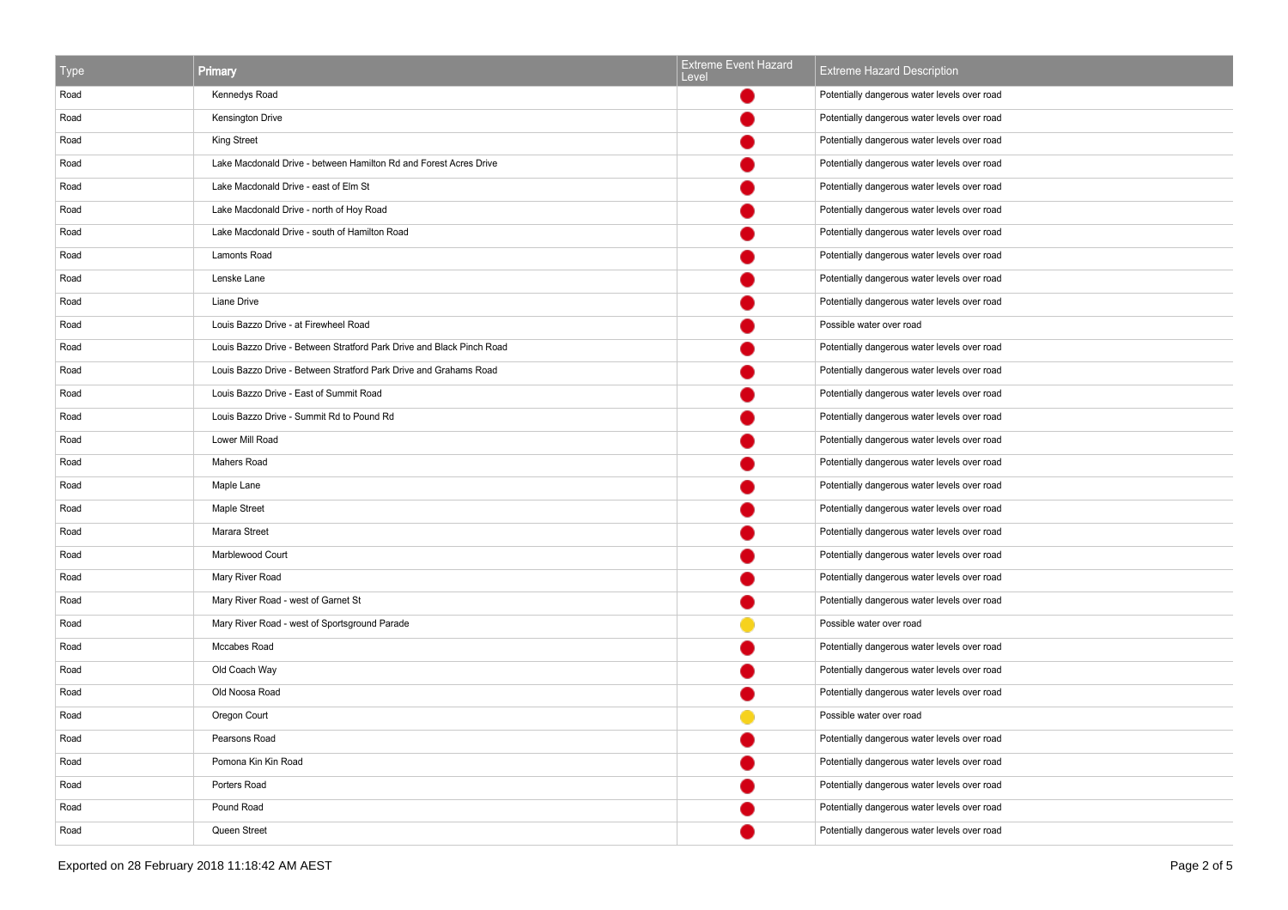| Type | Primary                                                               | <b>Extreme Event Hazard</b><br>Level | <b>Extreme Hazard Description</b>            |
|------|-----------------------------------------------------------------------|--------------------------------------|----------------------------------------------|
| Road | Kennedys Road                                                         |                                      | Potentially dangerous water levels over road |
| Road | <b>Kensington Drive</b>                                               |                                      | Potentially dangerous water levels over road |
| Road | King Street                                                           |                                      | Potentially dangerous water levels over road |
| Road | Lake Macdonald Drive - between Hamilton Rd and Forest Acres Drive     |                                      | Potentially dangerous water levels over road |
| Road | Lake Macdonald Drive - east of Elm St                                 |                                      | Potentially dangerous water levels over road |
| Road | Lake Macdonald Drive - north of Hoy Road                              |                                      | Potentially dangerous water levels over road |
| Road | Lake Macdonald Drive - south of Hamilton Road                         |                                      | Potentially dangerous water levels over road |
| Road | Lamonts Road                                                          |                                      | Potentially dangerous water levels over road |
| Road | Lenske Lane                                                           |                                      | Potentially dangerous water levels over road |
| Road | Liane Drive                                                           |                                      | Potentially dangerous water levels over road |
| Road | Louis Bazzo Drive - at Firewheel Road                                 |                                      | Possible water over road                     |
| Road | Louis Bazzo Drive - Between Stratford Park Drive and Black Pinch Road |                                      | Potentially dangerous water levels over road |
| Road | Louis Bazzo Drive - Between Stratford Park Drive and Grahams Road     |                                      | Potentially dangerous water levels over road |
| Road | Louis Bazzo Drive - East of Summit Road                               |                                      | Potentially dangerous water levels over road |
| Road | Louis Bazzo Drive - Summit Rd to Pound Rd                             |                                      | Potentially dangerous water levels over road |
| Road | Lower Mill Road                                                       |                                      | Potentially dangerous water levels over road |
| Road | Mahers Road                                                           |                                      | Potentially dangerous water levels over road |
| Road | Maple Lane                                                            |                                      | Potentially dangerous water levels over road |
| Road | Maple Street                                                          |                                      | Potentially dangerous water levels over road |
| Road | Marara Street                                                         |                                      | Potentially dangerous water levels over road |
| Road | Marblewood Court                                                      |                                      | Potentially dangerous water levels over road |
| Road | Mary River Road                                                       |                                      | Potentially dangerous water levels over road |
| Road | Mary River Road - west of Garnet St                                   |                                      | Potentially dangerous water levels over road |
| Road | Mary River Road - west of Sportsground Parade                         |                                      | Possible water over road                     |
| Road | Mccabes Road                                                          |                                      | Potentially dangerous water levels over road |
| Road | Old Coach Way                                                         |                                      | Potentially dangerous water levels over road |
| Road | Old Noosa Road                                                        |                                      | Potentially dangerous water levels over road |
| Road | Oregon Court                                                          |                                      | Possible water over road                     |
| Road | Pearsons Road                                                         |                                      | Potentially dangerous water levels over road |
| Road | Pomona Kin Kin Road                                                   |                                      | Potentially dangerous water levels over road |
| Road | Porters Road                                                          |                                      | Potentially dangerous water levels over road |
| Road | Pound Road                                                            |                                      | Potentially dangerous water levels over road |
| Road | Queen Street                                                          |                                      | Potentially dangerous water levels over road |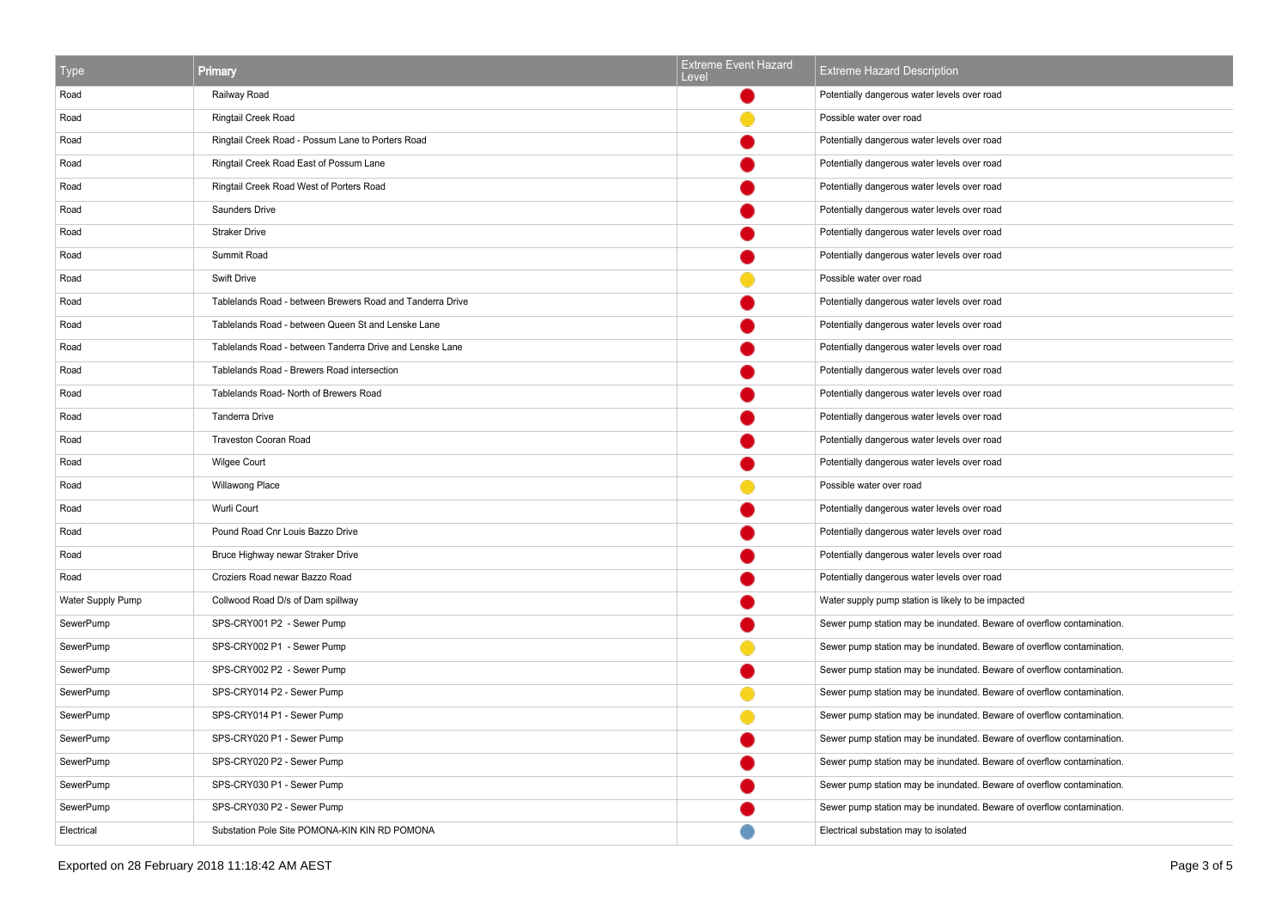| Type              | Primary                                                   | <b>Extreme Event Hazard</b><br>Level | <b>Extreme Hazard Description</b>                                      |
|-------------------|-----------------------------------------------------------|--------------------------------------|------------------------------------------------------------------------|
| Road              | Railway Road                                              |                                      | Potentially dangerous water levels over road                           |
| Road              | Ringtail Creek Road                                       |                                      | Possible water over road                                               |
| Road              | Ringtail Creek Road - Possum Lane to Porters Road         |                                      | Potentially dangerous water levels over road                           |
| Road              | Ringtail Creek Road East of Possum Lane                   |                                      | Potentially dangerous water levels over road                           |
| Road              | Ringtail Creek Road West of Porters Road                  |                                      | Potentially dangerous water levels over road                           |
| Road              | Saunders Drive                                            |                                      | Potentially dangerous water levels over road                           |
| Road              | <b>Straker Drive</b>                                      |                                      | Potentially dangerous water levels over road                           |
| Road              | Summit Road                                               |                                      | Potentially dangerous water levels over road                           |
| Road              | Swift Drive                                               |                                      | Possible water over road                                               |
| Road              | Tablelands Road - between Brewers Road and Tanderra Drive |                                      | Potentially dangerous water levels over road                           |
| Road              | Tablelands Road - between Queen St and Lenske Lane        |                                      | Potentially dangerous water levels over road                           |
| Road              | Tablelands Road - between Tanderra Drive and Lenske Lane  |                                      | Potentially dangerous water levels over road                           |
| Road              | Tablelands Road - Brewers Road intersection               |                                      | Potentially dangerous water levels over road                           |
| Road              | Tablelands Road- North of Brewers Road                    |                                      | Potentially dangerous water levels over road                           |
| Road              | <b>Tanderra Drive</b>                                     |                                      | Potentially dangerous water levels over road                           |
| Road              | Traveston Cooran Road                                     |                                      | Potentially dangerous water levels over road                           |
| Road              | <b>Wilgee Court</b>                                       |                                      | Potentially dangerous water levels over road                           |
| Road              | Willawong Place                                           |                                      | Possible water over road                                               |
| Road              | Wurli Court                                               |                                      | Potentially dangerous water levels over road                           |
| Road              | Pound Road Cnr Louis Bazzo Drive                          |                                      | Potentially dangerous water levels over road                           |
| Road              | Bruce Highway newar Straker Drive                         |                                      | Potentially dangerous water levels over road                           |
| Road              | Croziers Road newar Bazzo Road                            |                                      | Potentially dangerous water levels over road                           |
| Water Supply Pump | Collwood Road D/s of Dam spillway                         |                                      | Water supply pump station is likely to be impacted                     |
| SewerPump         | SPS-CRY001 P2 - Sewer Pump                                |                                      | Sewer pump station may be inundated. Beware of overflow contamination. |
| SewerPump         | SPS-CRY002 P1 - Sewer Pump                                |                                      | Sewer pump station may be inundated. Beware of overflow contamination. |
| SewerPump         | SPS-CRY002 P2 - Sewer Pump                                |                                      | Sewer pump station may be inundated. Beware of overflow contamination. |
| SewerPump         | SPS-CRY014 P2 - Sewer Pump                                |                                      | Sewer pump station may be inundated. Beware of overflow contamination. |
| SewerPump         | SPS-CRY014 P1 - Sewer Pump                                |                                      | Sewer pump station may be inundated. Beware of overflow contamination. |
| SewerPump         | SPS-CRY020 P1 - Sewer Pump                                |                                      | Sewer pump station may be inundated. Beware of overflow contamination. |
| SewerPump         | SPS-CRY020 P2 - Sewer Pump                                |                                      | Sewer pump station may be inundated. Beware of overflow contamination. |
| SewerPump         | SPS-CRY030 P1 - Sewer Pump                                |                                      | Sewer pump station may be inundated. Beware of overflow contamination. |
| SewerPump         | SPS-CRY030 P2 - Sewer Pump                                |                                      | Sewer pump station may be inundated. Beware of overflow contamination. |
| Electrical        | Substation Pole Site POMONA-KIN KIN RD POMONA             |                                      | Electrical substation may to isolated                                  |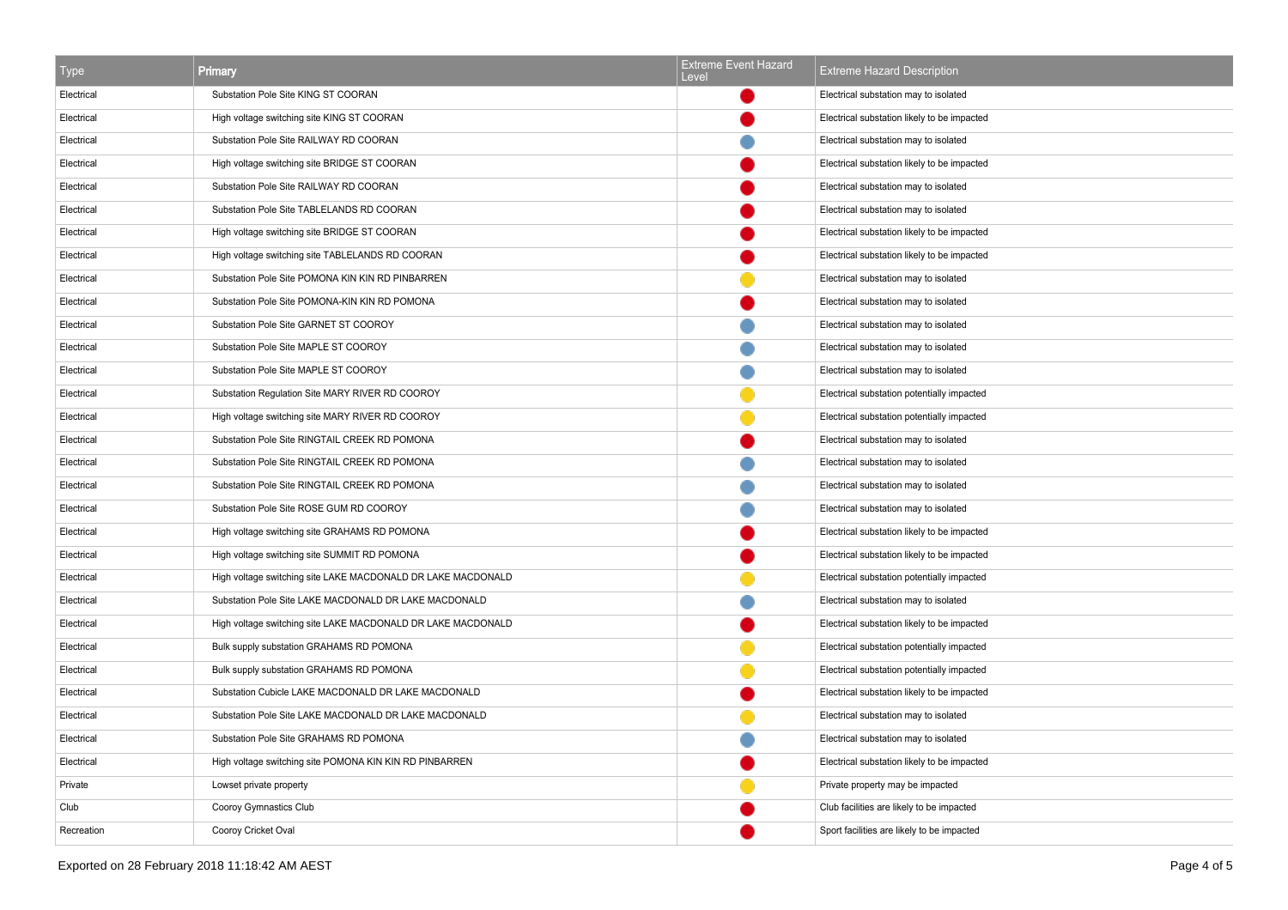| Type       | Primary                                                      | <b>Extreme Event Hazard</b><br>Level | <b>Extreme Hazard Description</b>           |
|------------|--------------------------------------------------------------|--------------------------------------|---------------------------------------------|
| Electrical | Substation Pole Site KING ST COORAN                          |                                      | Electrical substation may to isolated       |
| Electrical | High voltage switching site KING ST COORAN                   |                                      | Electrical substation likely to be impacted |
| Electrical | Substation Pole Site RAILWAY RD COORAN                       |                                      | Electrical substation may to isolated       |
| Electrical | High voltage switching site BRIDGE ST COORAN                 |                                      | Electrical substation likely to be impacted |
| Electrical | Substation Pole Site RAILWAY RD COORAN                       |                                      | Electrical substation may to isolated       |
| Electrical | Substation Pole Site TABLELANDS RD COORAN                    |                                      | Electrical substation may to isolated       |
| Electrical | High voltage switching site BRIDGE ST COORAN                 |                                      | Electrical substation likely to be impacted |
| Electrical | High voltage switching site TABLELANDS RD COORAN             |                                      | Electrical substation likely to be impacted |
| Electrical | Substation Pole Site POMONA KIN KIN RD PINBARREN             |                                      | Electrical substation may to isolated       |
| Electrical | Substation Pole Site POMONA-KIN KIN RD POMONA                |                                      | Electrical substation may to isolated       |
| Electrical | Substation Pole Site GARNET ST COOROY                        |                                      | Electrical substation may to isolated       |
| Electrical | Substation Pole Site MAPLE ST COOROY                         |                                      | Electrical substation may to isolated       |
| Electrical | Substation Pole Site MAPLE ST COOROY                         |                                      | Electrical substation may to isolated       |
| Electrical | Substation Regulation Site MARY RIVER RD COOROY              |                                      | Electrical substation potentially impacted  |
| Electrical | High voltage switching site MARY RIVER RD COOROY             |                                      | Electrical substation potentially impacted  |
| Electrical | Substation Pole Site RINGTAIL CREEK RD POMONA                |                                      | Electrical substation may to isolated       |
| Electrical | Substation Pole Site RINGTAIL CREEK RD POMONA                |                                      | Electrical substation may to isolated       |
| Electrical | Substation Pole Site RINGTAIL CREEK RD POMONA                |                                      | Electrical substation may to isolated       |
| Electrical | Substation Pole Site ROSE GUM RD COOROY                      |                                      | Electrical substation may to isolated       |
| Electrical | High voltage switching site GRAHAMS RD POMONA                |                                      | Electrical substation likely to be impacted |
| Electrical | High voltage switching site SUMMIT RD POMONA                 |                                      | Electrical substation likely to be impacted |
| Electrical | High voltage switching site LAKE MACDONALD DR LAKE MACDONALD |                                      | Electrical substation potentially impacted  |
| Electrical | Substation Pole Site LAKE MACDONALD DR LAKE MACDONALD        |                                      | Electrical substation may to isolated       |
| Electrical | High voltage switching site LAKE MACDONALD DR LAKE MACDONALD |                                      | Electrical substation likely to be impacted |
| Electrical | Bulk supply substation GRAHAMS RD POMONA                     |                                      | Electrical substation potentially impacted  |
| Electrical | Bulk supply substation GRAHAMS RD POMONA                     |                                      | Electrical substation potentially impacted  |
| Electrical | Substation Cubicle LAKE MACDONALD DR LAKE MACDONALD          |                                      | Electrical substation likely to be impacted |
| Electrical | Substation Pole Site LAKE MACDONALD DR LAKE MACDONALD        |                                      | Electrical substation may to isolated       |
| Electrical | Substation Pole Site GRAHAMS RD POMONA                       |                                      | Electrical substation may to isolated       |
| Electrical | High voltage switching site POMONA KIN KIN RD PINBARREN      |                                      | Electrical substation likely to be impacted |
| Private    | Lowset private property                                      |                                      | Private property may be impacted            |
| Club       | Cooroy Gymnastics Club                                       |                                      | Club facilities are likely to be impacted   |
| Recreation | Cooroy Cricket Oval                                          |                                      | Sport facilities are likely to be impacted  |